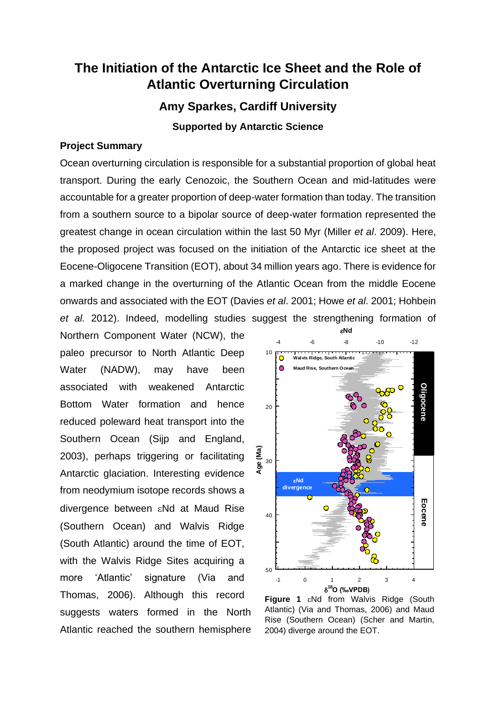# **The Initiation of the Antarctic Ice Sheet and the Role of Atlantic Overturning Circulation**

**Amy Sparkes, Cardiff University**

**Supported by Antarctic Science**

### **Project Summary**

Ocean overturning circulation is responsible for a substantial proportion of global heat transport. During the early Cenozoic, the Southern Ocean and mid-latitudes were accountable for a greater proportion of deep-water formation than today. The transition from a southern source to a bipolar source of deep-water formation represented the greatest change in ocean circulation within the last 50 Myr (Miller *et al*. 2009). Here, the proposed project was focused on the initiation of the Antarctic ice sheet at the Eocene-Oligocene Transition (EOT), about 34 million years ago. There is evidence for a marked change in the overturning of the Atlantic Ocean from the middle Eocene onwards and associated with the EOT (Davies *et al*. 2001; Howe *et al*. 2001; Hohbein *et al.* 2012). Indeed, modelling studies suggest the strengthening formation of

Northern Component Water (NCW), the paleo precursor to North Atlantic Deep Water (NADW), may have been associated with weakened Antarctic Bottom Water formation and hence reduced poleward heat transport into the Southern Ocean (Sijp and England, 2003), perhaps triggering or facilitating Antarctic glaciation. Interesting evidence from neodymium isotope records shows a divergence between  $\varepsilon$ Nd at Maud Rise (Southern Ocean) and Walvis Ridge (South Atlantic) around the time of EOT, with the Walvis Ridge Sites acquiring a more 'Atlantic' signature (Via and Thomas, 2006). Although this record suggests waters formed in the North Atlantic reached the southern hemisphere



Figure 1  $\varepsilon$ Nd from Walvis Ridge (South Atlantic) (Via and Thomas, 2006) and Maud Rise (Southern Ocean) (Scher and Martin, 2004) diverge around the EOT.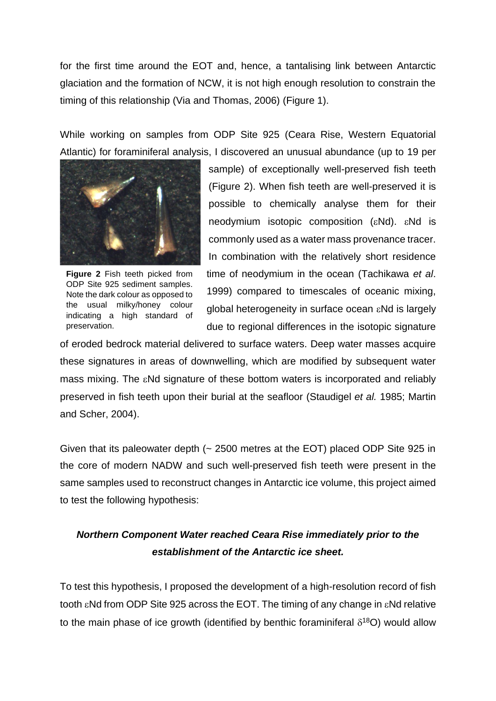for the first time around the EOT and, hence, a tantalising link between Antarctic glaciation and the formation of NCW, it is not high enough resolution to constrain the timing of this relationship (Via and Thomas, 2006) (Figure 1).

While working on samples from ODP Site 925 (Ceara Rise, Western Equatorial Atlantic) for foraminiferal analysis, I discovered an unusual abundance (up to 19 per



**Figure 2** Fish teeth picked from ODP Site 925 sediment samples. Note the dark colour as opposed to the usual milky/honey colour indicating a high standard of preservation.

sample) of exceptionally well-preserved fish teeth (Figure 2). When fish teeth are well-preserved it is possible to chemically analyse them for their neodymium isotopic composition ( $\varepsilon$ Nd).  $\varepsilon$ Nd is commonly used as a water mass provenance tracer. In combination with the relatively short residence time of neodymium in the ocean (Tachikawa *et al*. 1999) compared to timescales of oceanic mixing, global heterogeneity in surface ocean  $\varepsilon$ Nd is largely due to regional differences in the isotopic signature

of eroded bedrock material delivered to surface waters. Deep water masses acquire these signatures in areas of downwelling, which are modified by subsequent water mass mixing. The  $\varepsilon$ Nd signature of these bottom waters is incorporated and reliably preserved in fish teeth upon their burial at the seafloor (Staudigel *et al.* 1985; Martin and Scher, 2004).

Given that its paleowater depth (~ 2500 metres at the EOT) placed ODP Site 925 in the core of modern NADW and such well-preserved fish teeth were present in the same samples used to reconstruct changes in Antarctic ice volume, this project aimed to test the following hypothesis:

# *Northern Component Water reached Ceara Rise immediately prior to the establishment of the Antarctic ice sheet.*

To test this hypothesis, I proposed the development of a high-resolution record of fish tooth  $\varepsilon$ Nd from ODP Site 925 across the EOT. The timing of any change in  $\varepsilon$ Nd relative to the main phase of ice growth (identified by benthic foraminiferal  $\delta^{18}O$ ) would allow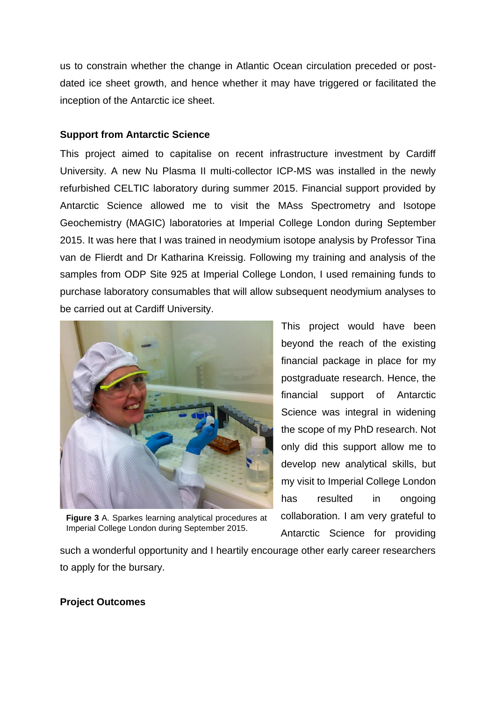us to constrain whether the change in Atlantic Ocean circulation preceded or postdated ice sheet growth, and hence whether it may have triggered or facilitated the inception of the Antarctic ice sheet.

### **Support from Antarctic Science**

This project aimed to capitalise on recent infrastructure investment by Cardiff University. A new Nu Plasma II multi-collector ICP-MS was installed in the newly refurbished CELTIC laboratory during summer 2015. Financial support provided by Antarctic Science allowed me to visit the MAss Spectrometry and Isotope Geochemistry (MAGIC) laboratories at Imperial College London during September 2015. It was here that I was trained in neodymium isotope analysis by Professor Tina van de Flierdt and Dr Katharina Kreissig. Following my training and analysis of the samples from ODP Site 925 at Imperial College London, I used remaining funds to purchase laboratory consumables that will allow subsequent neodymium analyses to be carried out at Cardiff University.



**Figure 3** A. Sparkes learning analytical procedures at Imperial College London during September 2015.

This project would have been beyond the reach of the existing financial package in place for my postgraduate research. Hence, the financial support of Antarctic Science was integral in widening the scope of my PhD research. Not only did this support allow me to develop new analytical skills, but my visit to Imperial College London has resulted in ongoing collaboration. I am very grateful to Antarctic Science for providing

such a wonderful opportunity and I heartily encourage other early career researchers to apply for the bursary.

#### **Project Outcomes**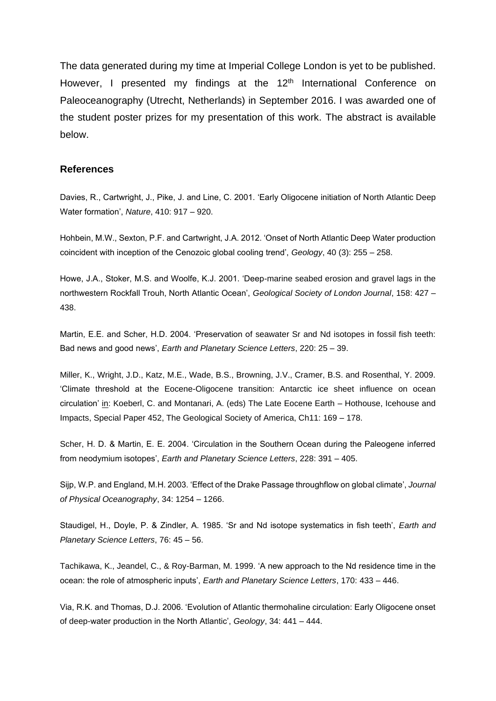The data generated during my time at Imperial College London is yet to be published. However, I presented my findings at the 12<sup>th</sup> International Conference on Paleoceanography (Utrecht, Netherlands) in September 2016. I was awarded one of the student poster prizes for my presentation of this work. The abstract is available below.

#### **References**

Davies, R., Cartwright, J., Pike, J. and Line, C. 2001. 'Early Oligocene initiation of North Atlantic Deep Water formation', *Nature*, 410: 917 – 920.

Hohbein, M.W., Sexton, P.F. and Cartwright, J.A. 2012. 'Onset of North Atlantic Deep Water production coincident with inception of the Cenozoic global cooling trend', *Geology*, 40 (3): 255 – 258.

Howe, J.A., Stoker, M.S. and Woolfe, K.J. 2001. 'Deep-marine seabed erosion and gravel lags in the northwestern Rockfall Trouh, North Atlantic Ocean', *Geological Society of London Journal*, 158: 427 – 438.

Martin, E.E. and Scher, H.D. 2004. 'Preservation of seawater Sr and Nd isotopes in fossil fish teeth: Bad news and good news', *Earth and Planetary Science Letters*, 220: 25 – 39.

Miller, K., Wright, J.D., Katz, M.E., Wade, B.S., Browning, J.V., Cramer, B.S. and Rosenthal, Y. 2009. 'Climate threshold at the Eocene-Oligocene transition: Antarctic ice sheet influence on ocean circulation' in: Koeberl, C. and Montanari, A. (eds) The Late Eocene Earth – Hothouse, Icehouse and Impacts, Special Paper 452, The Geological Society of America, Ch11: 169 – 178.

Scher, H. D. & Martin, E. E. 2004. 'Circulation in the Southern Ocean during the Paleogene inferred from neodymium isotopes', *Earth and Planetary Science Letters*, 228: 391 – 405.

Sijp, W.P. and England, M.H. 2003. 'Effect of the Drake Passage throughflow on global climate', *Journal of Physical Oceanography*, 34: 1254 – 1266.

Staudigel, H., Doyle, P. & Zindler, A. 1985. 'Sr and Nd isotope systematics in fish teeth', *Earth and Planetary Science Letters*, 76: 45 – 56.

Tachikawa, K., Jeandel, C., & Roy-Barman, M. 1999. 'A new approach to the Nd residence time in the ocean: the role of atmospheric inputs', *Earth and Planetary Science Letters*, 170: 433 – 446.

Via, R.K. and Thomas, D.J. 2006. 'Evolution of Atlantic thermohaline circulation: Early Oligocene onset of deep-water production in the North Atlantic', *Geology*, 34: 441 – 444.